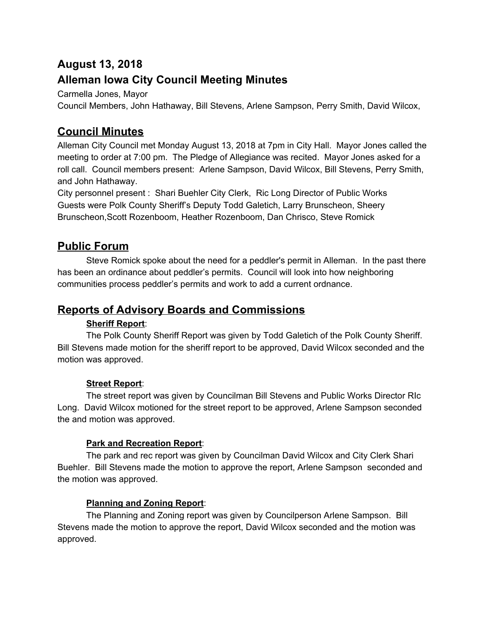# **August 13, 2018**

## **Alleman Iowa City Council Meeting Minutes**

Carmella Jones, Mayor

Council Members, John Hathaway, Bill Stevens, Arlene Sampson, Perry Smith, David Wilcox,

## **Council Minutes**

Alleman City Council met Monday August 13, 2018 at 7pm in City Hall. Mayor Jones called the meeting to order at 7:00 pm. The Pledge of Allegiance was recited. Mayor Jones asked for a roll call. Council members present: Arlene Sampson, David Wilcox, Bill Stevens, Perry Smith, and John Hathaway.

City personnel present : Shari Buehler City Clerk, Ric Long Director of Public Works Guests were Polk County Sheriff's Deputy Todd Galetich, Larry Brunscheon, Sheery Brunscheon,Scott Rozenboom, Heather Rozenboom, Dan Chrisco, Steve Romick

## **Public Forum**

Steve Romick spoke about the need for a peddler's permit in Alleman. In the past there has been an ordinance about peddler's permits. Council will look into how neighboring communities process peddler's permits and work to add a current ordnance.

## **Reports of Advisory Boards and Commissions**

### **Sheriff Report**:

The Polk County Sheriff Report was given by Todd Galetich of the Polk County Sheriff. Bill Stevens made motion for the sheriff report to be approved, David Wilcox seconded and the motion was approved.

## **Street Report**:

The street report was given by Councilman Bill Stevens and Public Works Director RIc Long. David Wilcox motioned for the street report to be approved, Arlene Sampson seconded the and motion was approved.

## **Park and Recreation Report**:

The park and rec report was given by Councilman David Wilcox and City Clerk Shari Buehler. Bill Stevens made the motion to approve the report, Arlene Sampson seconded and the motion was approved.

## **Planning and Zoning Report**:

The Planning and Zoning report was given by Councilperson Arlene Sampson. Bill Stevens made the motion to approve the report, David Wilcox seconded and the motion was approved.